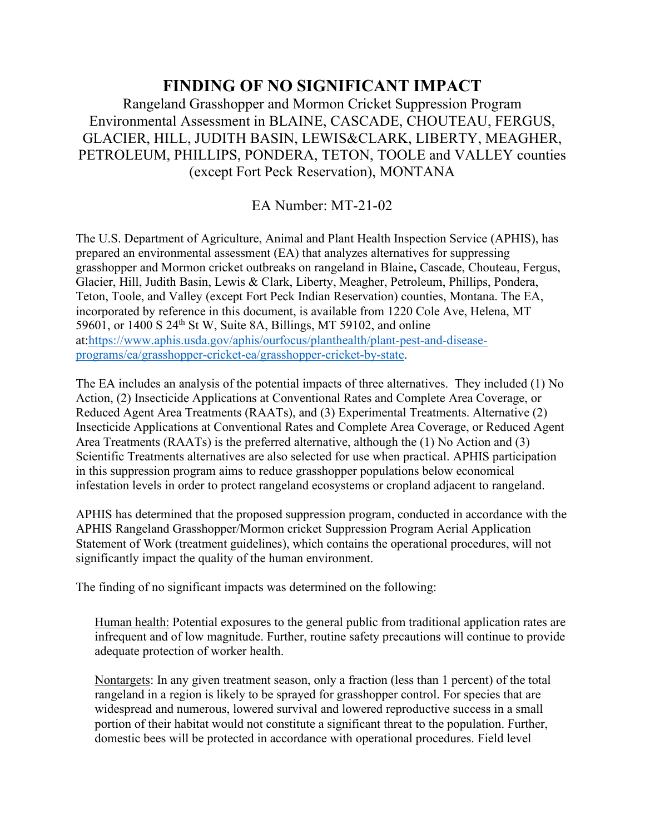## **FINDING OF NO SIGNIFICANT IMPACT**

Rangeland Grasshopper and Mormon Cricket Suppression Program Environmental Assessment in BLAINE, CASCADE, CHOUTEAU, FERGUS, GLACIER, HILL, JUDITH BASIN, LEWIS&CLARK, LIBERTY, MEAGHER, PETROLEUM, PHILLIPS, PONDERA, TETON, TOOLE and VALLEY counties (except Fort Peck Reservation), MONTANA

EA Number: MT-21-02

The U.S. Department of Agriculture, Animal and Plant Health Inspection Service (APHIS), has prepared an environmental assessment (EA) that analyzes alternatives for suppressing grasshopper and Mormon cricket outbreaks on rangeland in Blaine**,** Cascade, Chouteau, Fergus, Glacier, Hill, Judith Basin, Lewis & Clark, Liberty, Meagher, Petroleum, Phillips, Pondera, Teton, Toole, and Valley (except Fort Peck Indian Reservation) counties, Montana. The EA, incorporated by reference in this document, is available from 1220 Cole Ave, Helena, MT 59601, or 1400 S  $24<sup>th</sup>$  St W, Suite 8A, Billings, MT 59102, and online at[:https://www.aphis.usda.gov/aphis/ourfocus/planthealth/plant-pest-and-disease](https://www.aphis.usda.gov/aphis/ourfocus/planthealth/plant-pest-and-disease-programs/ea/grasshopper-cricket-ea/grasshopper-cricket-by-state)[programs/ea/grasshopper-cricket-ea/grasshopper-cricket-by-state.](https://www.aphis.usda.gov/aphis/ourfocus/planthealth/plant-pest-and-disease-programs/ea/grasshopper-cricket-ea/grasshopper-cricket-by-state)

The EA includes an analysis of the potential impacts of three alternatives. They included (1) No Action, (2) Insecticide Applications at Conventional Rates and Complete Area Coverage, or Reduced Agent Area Treatments (RAATs), and (3) Experimental Treatments. Alternative (2) Insecticide Applications at Conventional Rates and Complete Area Coverage, or Reduced Agent Area Treatments (RAATs) is the preferred alternative, although the (1) No Action and (3) Scientific Treatments alternatives are also selected for use when practical. APHIS participation in this suppression program aims to reduce grasshopper populations below economical infestation levels in order to protect rangeland ecosystems or cropland adjacent to rangeland.

APHIS has determined that the proposed suppression program, conducted in accordance with the APHIS Rangeland Grasshopper/Mormon cricket Suppression Program Aerial Application Statement of Work (treatment guidelines), which contains the operational procedures, will not significantly impact the quality of the human environment.

The finding of no significant impacts was determined on the following:

Human health: Potential exposures to the general public from traditional application rates are infrequent and of low magnitude. Further, routine safety precautions will continue to provide adequate protection of worker health.

Nontargets: In any given treatment season, only a fraction (less than 1 percent) of the total rangeland in a region is likely to be sprayed for grasshopper control. For species that are widespread and numerous, lowered survival and lowered reproductive success in a small portion of their habitat would not constitute a significant threat to the population. Further, domestic bees will be protected in accordance with operational procedures. Field level